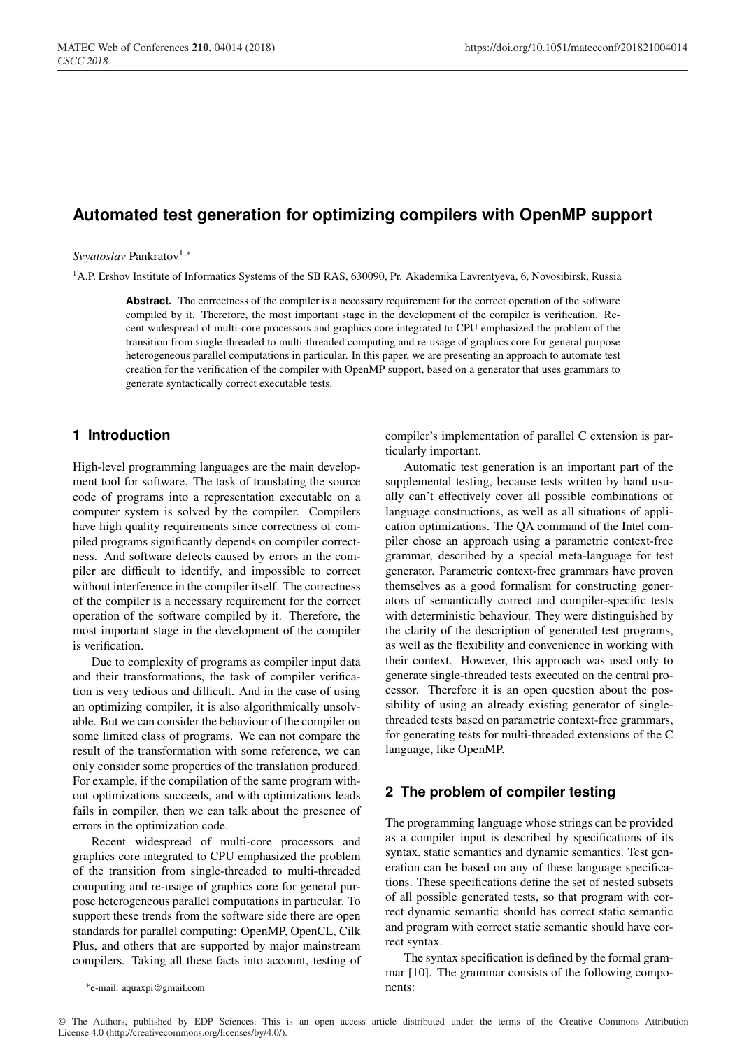# **Automated test generation for optimizing compilers with OpenMP support**

*Svyatoslav* Pankratov<sup>1,\*</sup>

<sup>1</sup>A.P. Ershov Institute of Informatics Systems of the SB RAS, 630090, Pr. Akademika Lavrentyeva, 6, Novosibirsk, Russia

Abstract. The correctness of the compiler is a necessary requirement for the correct operation of the software compiled by it. Therefore, the most important stage in the development of the compiler is verification. Recent widespread of multi-core processors and graphics core integrated to CPU emphasized the problem of the transition from single-threaded to multi-threaded computing and re-usage of graphics core for general purpose heterogeneous parallel computations in particular. In this paper, we are presenting an approach to automate test creation for the verification of the compiler with OpenMP support, based on a generator that uses grammars to generate syntactically correct executable tests.

## **1 Introduction**

High-level programming languages are the main development tool for software. The task of translating the source code of programs into a representation executable on a computer system is solved by the compiler. Compilers have high quality requirements since correctness of compiled programs significantly depends on compiler correctness. And software defects caused by errors in the compiler are difficult to identify, and impossible to correct without interference in the compiler itself. The correctness of the compiler is a necessary requirement for the correct operation of the software compiled by it. Therefore, the most important stage in the development of the compiler is verification.

Due to complexity of programs as compiler input data and their transformations, the task of compiler verification is very tedious and difficult. And in the case of using an optimizing compiler, it is also algorithmically unsolvable. But we can consider the behaviour of the compiler on some limited class of programs. We can not compare the result of the transformation with some reference, we can only consider some properties of the translation produced. For example, if the compilation of the same program without optimizations succeeds, and with optimizations leads fails in compiler, then we can talk about the presence of errors in the optimization code.

Recent widespread of multi-core processors and graphics core integrated to CPU emphasized the problem of the transition from single-threaded to multi-threaded computing and re-usage of graphics core for general purpose heterogeneous parallel computations in particular. To support these trends from the software side there are open standards for parallel computing: OpenMP, OpenCL, Cilk Plus, and others that are supported by major mainstream compilers. Taking all these facts into account, testing of compiler's implementation of parallel C extension is particularly important.

Automatic test generation is an important part of the supplemental testing, because tests written by hand usually can't effectively cover all possible combinations of language constructions, as well as all situations of application optimizations. The QA command of the Intel compiler chose an approach using a parametric context-free grammar, described by a special meta-language for test generator. Parametric context-free grammars have proven themselves as a good formalism for constructing generators of semantically correct and compiler-specific tests with deterministic behaviour. They were distinguished by the clarity of the description of generated test programs, as well as the flexibility and convenience in working with their context. However, this approach was used only to generate single-threaded tests executed on the central processor. Therefore it is an open question about the possibility of using an already existing generator of singlethreaded tests based on parametric context-free grammars, for generating tests for multi-threaded extensions of the C language, like OpenMP.

## **2 The problem of compiler testing**

The programming language whose strings can be provided as a compiler input is described by specifications of its syntax, static semantics and dynamic semantics. Test generation can be based on any of these language specifications. These specifications define the set of nested subsets of all possible generated tests, so that program with correct dynamic semantic should has correct static semantic and program with correct static semantic should have correct syntax.

The syntax specification is defined by the formal grammar [10]. The grammar consists of the following components:

<sup>∗</sup>e-mail: aquaxpi@gmail.com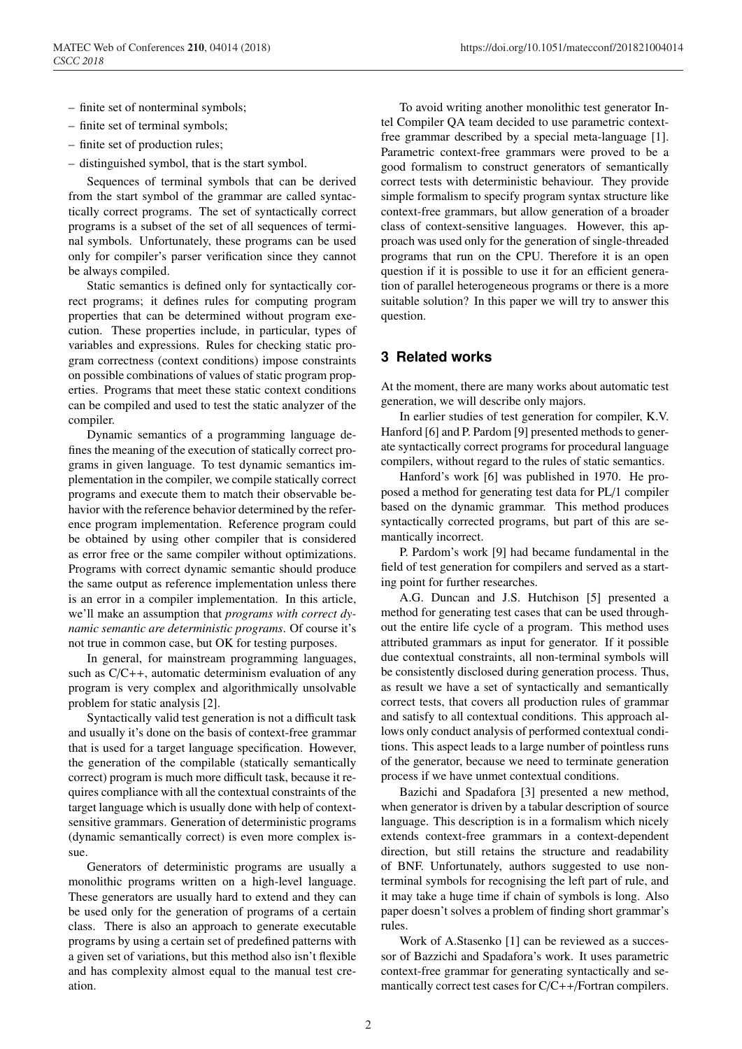- finite set of nonterminal symbols;
- finite set of terminal symbols;
- finite set of production rules;
- distinguished symbol, that is the start symbol.

Sequences of terminal symbols that can be derived from the start symbol of the grammar are called syntactically correct programs. The set of syntactically correct programs is a subset of the set of all sequences of terminal symbols. Unfortunately, these programs can be used only for compiler's parser verification since they cannot be always compiled.

Static semantics is defined only for syntactically correct programs; it defines rules for computing program properties that can be determined without program execution. These properties include, in particular, types of variables and expressions. Rules for checking static program correctness (context conditions) impose constraints on possible combinations of values of static program properties. Programs that meet these static context conditions can be compiled and used to test the static analyzer of the compiler.

Dynamic semantics of a programming language defines the meaning of the execution of statically correct programs in given language. To test dynamic semantics implementation in the compiler, we compile statically correct programs and execute them to match their observable behavior with the reference behavior determined by the reference program implementation. Reference program could be obtained by using other compiler that is considered as error free or the same compiler without optimizations. Programs with correct dynamic semantic should produce the same output as reference implementation unless there is an error in a compiler implementation. In this article, we'll make an assumption that *programs with correct dynamic semantic are deterministic programs*. Of course it's not true in common case, but OK for testing purposes.

In general, for mainstream programming languages, such as C/C++, automatic determinism evaluation of any program is very complex and algorithmically unsolvable problem for static analysis [2].

Syntactically valid test generation is not a difficult task and usually it's done on the basis of context-free grammar that is used for a target language specification. However, the generation of the compilable (statically semantically correct) program is much more difficult task, because it requires compliance with all the contextual constraints of the target language which is usually done with help of contextsensitive grammars. Generation of deterministic programs (dynamic semantically correct) is even more complex issue.

Generators of deterministic programs are usually a monolithic programs written on a high-level language. These generators are usually hard to extend and they can be used only for the generation of programs of a certain class. There is also an approach to generate executable programs by using a certain set of predefined patterns with a given set of variations, but this method also isn't flexible and has complexity almost equal to the manual test creation.

To avoid writing another monolithic test generator Intel Compiler QA team decided to use parametric contextfree grammar described by a special meta-language [1]. Parametric context-free grammars were proved to be a good formalism to construct generators of semantically correct tests with deterministic behaviour. They provide simple formalism to specify program syntax structure like context-free grammars, but allow generation of a broader class of context-sensitive languages. However, this approach was used only for the generation of single-threaded programs that run on the CPU. Therefore it is an open question if it is possible to use it for an efficient generation of parallel heterogeneous programs or there is a more suitable solution? In this paper we will try to answer this question.

# **3 Related works**

At the moment, there are many works about automatic test generation, we will describe only majors.

In earlier studies of test generation for compiler, K.V. Hanford [6] and P. Pardom [9] presented methods to generate syntactically correct programs for procedural language compilers, without regard to the rules of static semantics.

Hanford's work [6] was published in 1970. He proposed a method for generating test data for PL/1 compiler based on the dynamic grammar. This method produces syntactically corrected programs, but part of this are semantically incorrect.

P. Pardom's work [9] had became fundamental in the field of test generation for compilers and served as a starting point for further researches.

A.G. Duncan and J.S. Hutchison [5] presented a method for generating test cases that can be used throughout the entire life cycle of a program. This method uses attributed grammars as input for generator. If it possible due contextual constraints, all non-terminal symbols will be consistently disclosed during generation process. Thus, as result we have a set of syntactically and semantically correct tests, that covers all production rules of grammar and satisfy to all contextual conditions. This approach allows only conduct analysis of performed contextual conditions. This aspect leads to a large number of pointless runs of the generator, because we need to terminate generation process if we have unmet contextual conditions.

Bazichi and Spadafora [3] presented a new method, when generator is driven by a tabular description of source language. This description is in a formalism which nicely extends context-free grammars in a context-dependent direction, but still retains the structure and readability of BNF. Unfortunately, authors suggested to use nonterminal symbols for recognising the left part of rule, and it may take a huge time if chain of symbols is long. Also paper doesn't solves a problem of finding short grammar's rules.

Work of A.Stasenko [1] can be reviewed as a successor of Bazzichi and Spadafora's work. It uses parametric context-free grammar for generating syntactically and semantically correct test cases for C/C++/Fortran compilers.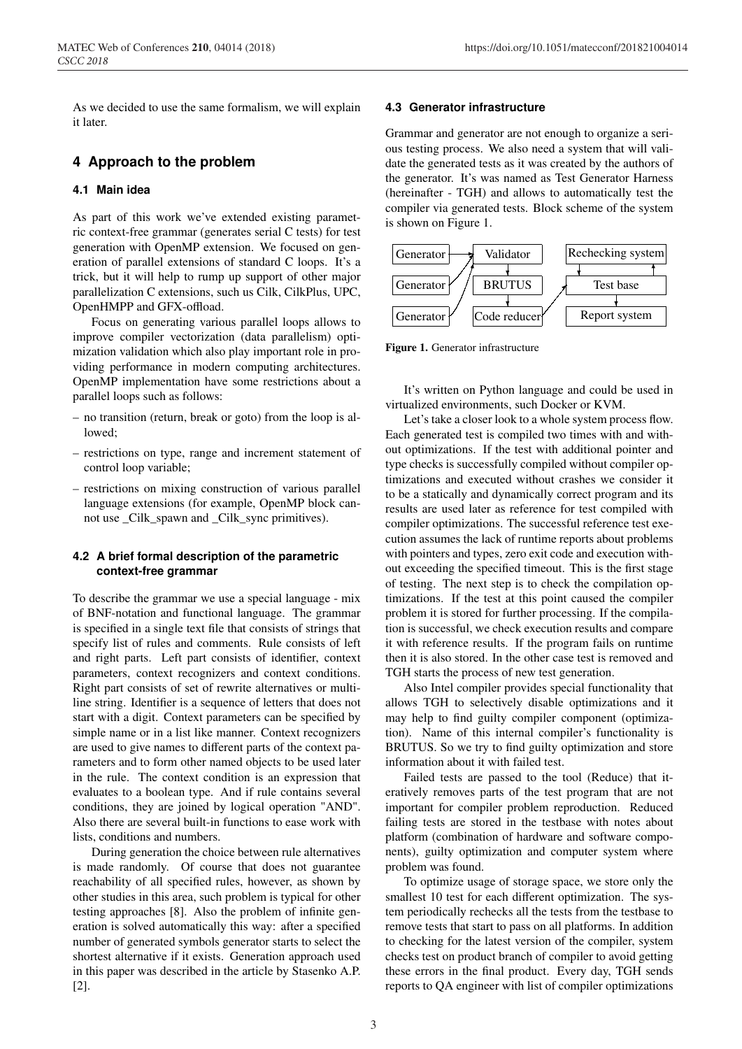As we decided to use the same formalism, we will explain it later.

### **4 Approach to the problem**

#### **4.1 Main idea**

As part of this work we've extended existing parametric context-free grammar (generates serial C tests) for test generation with OpenMP extension. We focused on generation of parallel extensions of standard C loops. It's a trick, but it will help to rump up support of other major parallelization C extensions, such us Cilk, CilkPlus, UPC, OpenHMPP and GFX-offload.

Focus on generating various parallel loops allows to improve compiler vectorization (data parallelism) optimization validation which also play important role in providing performance in modern computing architectures. OpenMP implementation have some restrictions about a parallel loops such as follows:

- no transition (return, break or goto) from the loop is allowed;
- restrictions on type, range and increment statement of control loop variable;
- restrictions on mixing construction of various parallel language extensions (for example, OpenMP block cannot use \_Cilk\_spawn and \_Cilk\_sync primitives).

#### **4.2 A brief formal description of the parametric context-free grammar**

To describe the grammar we use a special language - mix of BNF-notation and functional language. The grammar is specified in a single text file that consists of strings that specify list of rules and comments. Rule consists of left and right parts. Left part consists of identifier, context parameters, context recognizers and context conditions. Right part consists of set of rewrite alternatives or multiline string. Identifier is a sequence of letters that does not start with a digit. Context parameters can be specified by simple name or in a list like manner. Context recognizers are used to give names to different parts of the context parameters and to form other named objects to be used later in the rule. The context condition is an expression that evaluates to a boolean type. And if rule contains several conditions, they are joined by logical operation "AND". Also there are several built-in functions to ease work with lists, conditions and numbers.

During generation the choice between rule alternatives is made randomly. Of course that does not guarantee reachability of all specified rules, however, as shown by other studies in this area, such problem is typical for other testing approaches [8]. Also the problem of infinite generation is solved automatically this way: after a specified number of generated symbols generator starts to select the shortest alternative if it exists. Generation approach used in this paper was described in the article by Stasenko A.P. [2].

#### **4.3 Generator infrastructure**

Grammar and generator are not enough to organize a serious testing process. We also need a system that will validate the generated tests as it was created by the authors of the generator. It's was named as Test Generator Harness (hereinafter - TGH) and allows to automatically test the compiler via generated tests. Block scheme of the system is shown on Figure 1.



Figure 1. Generator infrastructure

It's written on Python language and could be used in virtualized environments, such Docker or KVM.

Let's take a closer look to a whole system process flow. Each generated test is compiled two times with and without optimizations. If the test with additional pointer and type checks is successfully compiled without compiler optimizations and executed without crashes we consider it to be a statically and dynamically correct program and its results are used later as reference for test compiled with compiler optimizations. The successful reference test execution assumes the lack of runtime reports about problems with pointers and types, zero exit code and execution without exceeding the specified timeout. This is the first stage of testing. The next step is to check the compilation optimizations. If the test at this point caused the compiler problem it is stored for further processing. If the compilation is successful, we check execution results and compare it with reference results. If the program fails on runtime then it is also stored. In the other case test is removed and TGH starts the process of new test generation.

Also Intel compiler provides special functionality that allows TGH to selectively disable optimizations and it may help to find guilty compiler component (optimization). Name of this internal compiler's functionality is BRUTUS. So we try to find guilty optimization and store information about it with failed test.

Failed tests are passed to the tool (Reduce) that iteratively removes parts of the test program that are not important for compiler problem reproduction. Reduced failing tests are stored in the testbase with notes about platform (combination of hardware and software components), guilty optimization and computer system where problem was found.

To optimize usage of storage space, we store only the smallest 10 test for each different optimization. The system periodically rechecks all the tests from the testbase to remove tests that start to pass on all platforms. In addition to checking for the latest version of the compiler, system checks test on product branch of compiler to avoid getting these errors in the final product. Every day, TGH sends reports to QA engineer with list of compiler optimizations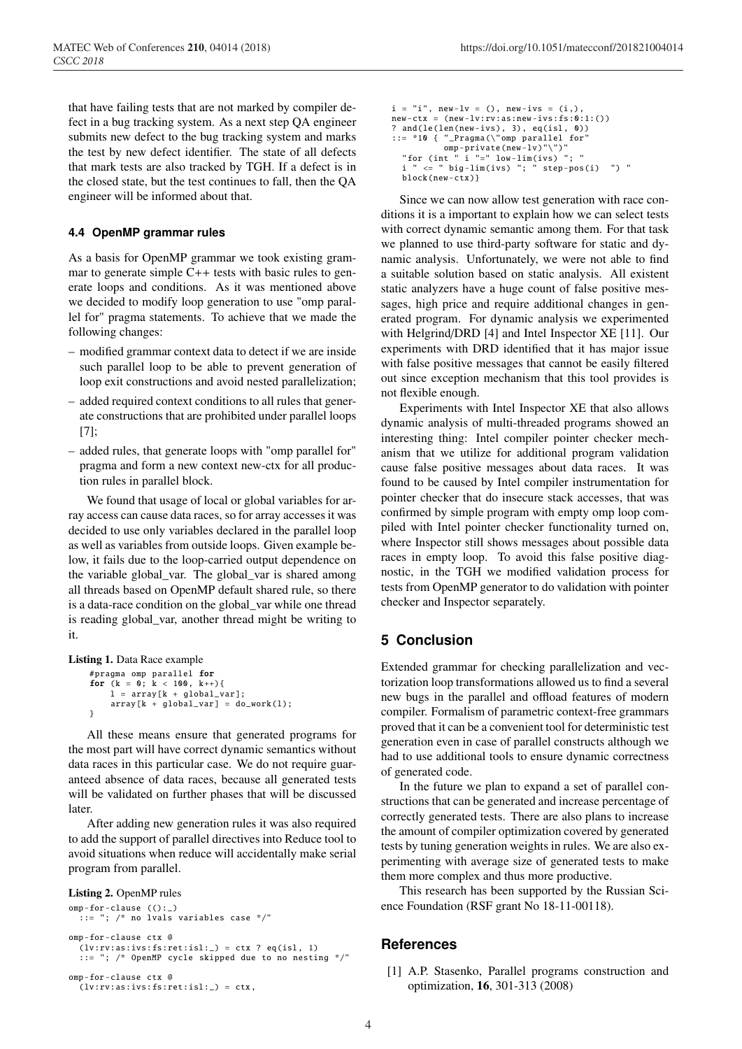that have failing tests that are not marked by compiler defect in a bug tracking system. As a next step QA engineer submits new defect to the bug tracking system and marks the test by new defect identifier. The state of all defects that mark tests are also tracked by TGH. If a defect is in the closed state, but the test continues to fall, then the QA engineer will be informed about that.

#### **4.4 OpenMP grammar rules**

As a basis for OpenMP grammar we took existing grammar to generate simple  $C++$  tests with basic rules to generate loops and conditions. As it was mentioned above we decided to modify loop generation to use "omp parallel for" pragma statements. To achieve that we made the following changes:

- modified grammar context data to detect if we are inside such parallel loop to be able to prevent generation of loop exit constructions and avoid nested parallelization;
- added required context conditions to all rules that generate constructions that are prohibited under parallel loops [7];
- added rules, that generate loops with "omp parallel for" pragma and form a new context new-ctx for all production rules in parallel block.

We found that usage of local or global variables for array access can cause data races, so for array accesses it was decided to use only variables declared in the parallel loop as well as variables from outside loops. Given example below, it fails due to the loop-carried output dependence on the variable global\_var. The global\_var is shared among all threads based on OpenMP default shared rule, so there is a data-race condition on the global\_var while one thread is reading global\_var, another thread might be writing to it.

```
Listing 1. Data Race example
```

```
#pragma omp parallel for
for (k = 0; k < 100, k++){
    l = array[k + global\_var];array[k + global_var] = do_work(1);}
```
All these means ensure that generated programs for the most part will have correct dynamic semantics without data races in this particular case. We do not require guaranteed absence of data races, because all generated tests will be validated on further phases that will be discussed later.

After adding new generation rules it was also required to add the support of parallel directives into Reduce tool to avoid situations when reduce will accidentally make serial program from parallel.

```
Listing 2. OpenMP rules
```

```
omp-for-clause (():_)
  ::= "; /* no lvals variables case */"
omp-for-clause ctx @
 (lv:rv:as:ivs:fs:ret:isl:') = ctx ? eq(isl, 1)
  ::= "; /* OpenMP cycle skipped due to no nesting */"
omp-for-clause ctx @
```

```
(lv:rv:as:ivs:fs:ret:isl:') = ctx,
```

```
i = "i", new-1v = (), new-ivs = (i,),new-ctx = (new-lv:rv:as:new-ivs:fs:0:1:())
? and(le(len(new-ivs), 3), eq(isl, 0))
::= *10 { "_Pragma(\"omp parallel for"
   omp-private(new-lv)"\")"
"for (int " i "=" low-lim(ivs) "; "
     \overline{\hspace{0.1cm}} " \leq " big-lim(ivs) "; " step-pos(i) ") "
  block(new-ctx)}
```
Since we can now allow test generation with race conditions it is a important to explain how we can select tests with correct dynamic semantic among them. For that task we planned to use third-party software for static and dynamic analysis. Unfortunately, we were not able to find a suitable solution based on static analysis. All existent static analyzers have a huge count of false positive messages, high price and require additional changes in generated program. For dynamic analysis we experimented with Helgrind/DRD [4] and Intel Inspector XE [11]. Our experiments with DRD identified that it has major issue with false positive messages that cannot be easily filtered out since exception mechanism that this tool provides is not flexible enough.

Experiments with Intel Inspector XE that also allows dynamic analysis of multi-threaded programs showed an interesting thing: Intel compiler pointer checker mechanism that we utilize for additional program validation cause false positive messages about data races. It was found to be caused by Intel compiler instrumentation for pointer checker that do insecure stack accesses, that was confirmed by simple program with empty omp loop compiled with Intel pointer checker functionality turned on, where Inspector still shows messages about possible data races in empty loop. To avoid this false positive diagnostic, in the TGH we modified validation process for tests from OpenMP generator to do validation with pointer checker and Inspector separately.

# **5 Conclusion**

Extended grammar for checking parallelization and vectorization loop transformations allowed us to find a several new bugs in the parallel and offload features of modern compiler. Formalism of parametric context-free grammars proved that it can be a convenient tool for deterministic test generation even in case of parallel constructs although we had to use additional tools to ensure dynamic correctness of generated code.

In the future we plan to expand a set of parallel constructions that can be generated and increase percentage of correctly generated tests. There are also plans to increase the amount of compiler optimization covered by generated tests by tuning generation weights in rules. We are also experimenting with average size of generated tests to make them more complex and thus more productive.

This research has been supported by the Russian Science Foundation (RSF grant No 18-11-00118).

#### **References**

[1] A.P. Stasenko, Parallel programs construction and optimization, 16, 301-313 (2008)